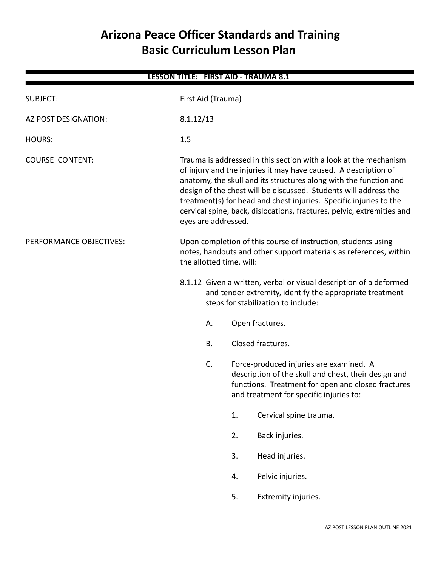# **Arizona Peace Officer Standards and Training Basic Curriculum Lesson Plan**

| <b>LESSON TITLE: FIRST AID - TRAUMA 8.1</b> |                                                                                                                                                                                                                                                                                                                                                                                                                                                     |                                                                                                                                                                |    |                                                                                                                                                                                                  |  |  |  |
|---------------------------------------------|-----------------------------------------------------------------------------------------------------------------------------------------------------------------------------------------------------------------------------------------------------------------------------------------------------------------------------------------------------------------------------------------------------------------------------------------------------|----------------------------------------------------------------------------------------------------------------------------------------------------------------|----|--------------------------------------------------------------------------------------------------------------------------------------------------------------------------------------------------|--|--|--|
| <b>SUBJECT:</b>                             | First Aid (Trauma)                                                                                                                                                                                                                                                                                                                                                                                                                                  |                                                                                                                                                                |    |                                                                                                                                                                                                  |  |  |  |
| AZ POST DESIGNATION:                        | 8.1.12/13                                                                                                                                                                                                                                                                                                                                                                                                                                           |                                                                                                                                                                |    |                                                                                                                                                                                                  |  |  |  |
| <b>HOURS:</b>                               | 1.5                                                                                                                                                                                                                                                                                                                                                                                                                                                 |                                                                                                                                                                |    |                                                                                                                                                                                                  |  |  |  |
| <b>COURSE CONTENT:</b>                      | Trauma is addressed in this section with a look at the mechanism<br>of injury and the injuries it may have caused. A description of<br>anatomy, the skull and its structures along with the function and<br>design of the chest will be discussed. Students will address the<br>treatment(s) for head and chest injuries. Specific injuries to the<br>cervical spine, back, dislocations, fractures, pelvic, extremities and<br>eyes are addressed. |                                                                                                                                                                |    |                                                                                                                                                                                                  |  |  |  |
| PERFORMANCE OBJECTIVES:                     |                                                                                                                                                                                                                                                                                                                                                                                                                                                     | Upon completion of this course of instruction, students using<br>notes, handouts and other support materials as references, within<br>the allotted time, will: |    |                                                                                                                                                                                                  |  |  |  |
|                                             |                                                                                                                                                                                                                                                                                                                                                                                                                                                     |                                                                                                                                                                |    | 8.1.12 Given a written, verbal or visual description of a deformed<br>and tender extremity, identify the appropriate treatment<br>steps for stabilization to include:                            |  |  |  |
|                                             |                                                                                                                                                                                                                                                                                                                                                                                                                                                     | А.                                                                                                                                                             |    | Open fractures.                                                                                                                                                                                  |  |  |  |
|                                             |                                                                                                                                                                                                                                                                                                                                                                                                                                                     | <b>B.</b>                                                                                                                                                      |    | Closed fractures.                                                                                                                                                                                |  |  |  |
|                                             |                                                                                                                                                                                                                                                                                                                                                                                                                                                     | C.                                                                                                                                                             |    | Force-produced injuries are examined. A<br>description of the skull and chest, their design and<br>functions. Treatment for open and closed fractures<br>and treatment for specific injuries to: |  |  |  |
|                                             |                                                                                                                                                                                                                                                                                                                                                                                                                                                     |                                                                                                                                                                | 1. | Cervical spine trauma.                                                                                                                                                                           |  |  |  |
|                                             |                                                                                                                                                                                                                                                                                                                                                                                                                                                     |                                                                                                                                                                | 2. | Back injuries.                                                                                                                                                                                   |  |  |  |
|                                             |                                                                                                                                                                                                                                                                                                                                                                                                                                                     |                                                                                                                                                                | 3. | Head injuries.                                                                                                                                                                                   |  |  |  |
|                                             |                                                                                                                                                                                                                                                                                                                                                                                                                                                     |                                                                                                                                                                | 4. | Pelvic injuries.                                                                                                                                                                                 |  |  |  |
|                                             |                                                                                                                                                                                                                                                                                                                                                                                                                                                     |                                                                                                                                                                | 5. | Extremity injuries.                                                                                                                                                                              |  |  |  |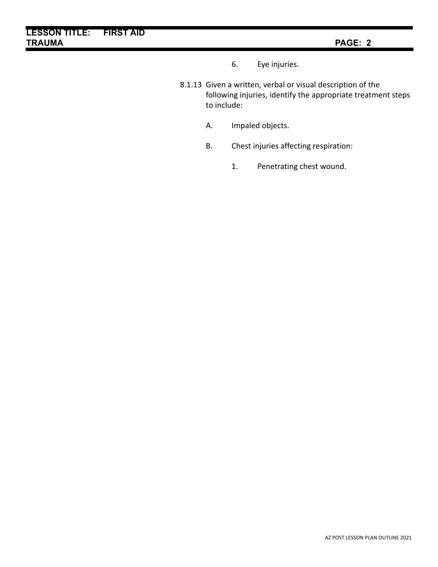- 6. Eye injuries.
- 8.1.13 Given a written, verbal or visual description of the following injuries, identify the appropriate treatment steps to include:
	- A. Impaled objects.
	- B. Chest injuries affecting respiration:
		- 1. Penetrating chest wound.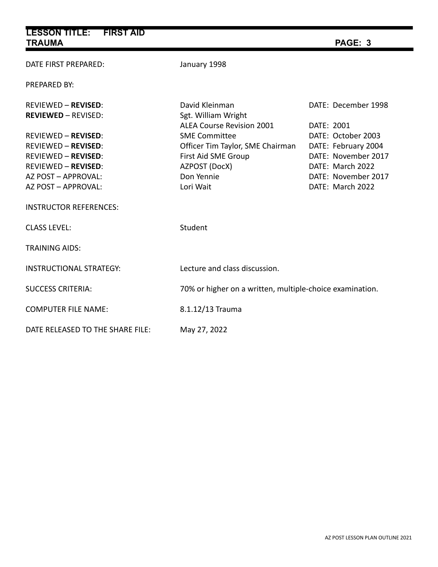| <b>LESSON TITLE:</b><br><b>FIRST AID</b><br><b>TRAUMA</b>                                                                                                          |                                                                                                                             | PAGE: 3                                                                                                                                       |  |  |
|--------------------------------------------------------------------------------------------------------------------------------------------------------------------|-----------------------------------------------------------------------------------------------------------------------------|-----------------------------------------------------------------------------------------------------------------------------------------------|--|--|
| DATE FIRST PREPARED:                                                                                                                                               | January 1998                                                                                                                |                                                                                                                                               |  |  |
| <b>PREPARED BY:</b>                                                                                                                                                |                                                                                                                             |                                                                                                                                               |  |  |
| <b>REVIEWED - REVISED:</b><br><b>REVIEWED - REVISED:</b>                                                                                                           | David Kleinman<br>Sgt. William Wright<br><b>ALEA Course Revision 2001</b>                                                   | DATE: December 1998                                                                                                                           |  |  |
| <b>REVIEWED - REVISED:</b><br><b>REVIEWED - REVISED:</b><br><b>REVIEWED - REVISED:</b><br><b>REVIEWED - REVISED:</b><br>AZ POST - APPROVAL:<br>AZ POST - APPROVAL: | <b>SME Committee</b><br>Officer Tim Taylor, SME Chairman<br>First Aid SME Group<br>AZPOST (DocX)<br>Don Yennie<br>Lori Wait | DATE: 2001<br>DATE: October 2003<br>DATE: February 2004<br>DATE: November 2017<br>DATE: March 2022<br>DATE: November 2017<br>DATE: March 2022 |  |  |
| <b>INSTRUCTOR REFERENCES:</b>                                                                                                                                      |                                                                                                                             |                                                                                                                                               |  |  |
| <b>CLASS LEVEL:</b>                                                                                                                                                | Student                                                                                                                     |                                                                                                                                               |  |  |
| <b>TRAINING AIDS:</b>                                                                                                                                              |                                                                                                                             |                                                                                                                                               |  |  |
| <b>INSTRUCTIONAL STRATEGY:</b>                                                                                                                                     | Lecture and class discussion.                                                                                               |                                                                                                                                               |  |  |
| <b>SUCCESS CRITERIA:</b>                                                                                                                                           | 70% or higher on a written, multiple-choice examination.                                                                    |                                                                                                                                               |  |  |
| <b>COMPUTER FILE NAME:</b>                                                                                                                                         | 8.1.12/13 Trauma                                                                                                            |                                                                                                                                               |  |  |
| DATE RELEASED TO THE SHARE FILE:                                                                                                                                   | May 27, 2022                                                                                                                |                                                                                                                                               |  |  |

ä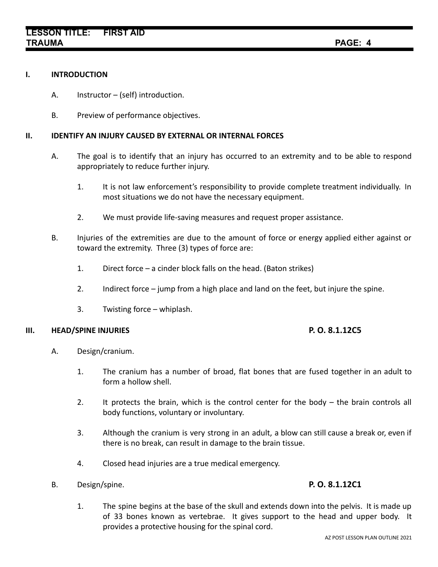# **I. INTRODUCTION**

- A. Instructor (self) introduction.
- B. Preview of performance objectives.

# **II. IDENTIFY AN INJURY CAUSED BY EXTERNAL OR INTERNAL FORCES**

- A. The goal is to identify that an injury has occurred to an extremity and to be able to respond appropriately to reduce further injury.
	- 1. It is not law enforcement's responsibility to provide complete treatment individually. In most situations we do not have the necessary equipment.
	- 2. We must provide life-saving measures and request proper assistance.
- B. Injuries of the extremities are due to the amount of force or energy applied either against or toward the extremity. Three (3) types of force are:
	- 1. Direct force a cinder block falls on the head. (Baton strikes)
	- 2. Indirect force jump from a high place and land on the feet, but injure the spine.
	- 3. Twisting force whiplash.

# **III. HEAD/SPINE INJURIES P. O. 8.1.12C5**

- A. Design/cranium.
	- 1. The cranium has a number of broad, flat bones that are fused together in an adult to form a hollow shell.
	- 2. It protects the brain, which is the control center for the body the brain controls all body functions, voluntary or involuntary.
	- 3. Although the cranium is very strong in an adult, a blow can still cause a break or, even if there is no break, can result in damage to the brain tissue.
	- 4. Closed head injuries are a true medical emergency.
- B. Design/spine. **P. O. 8.1.12C1**

1. The spine begins at the base of the skull and extends down into the pelvis. It is made up of 33 bones known as vertebrae. It gives support to the head and upper body. It provides a protective housing for the spinal cord.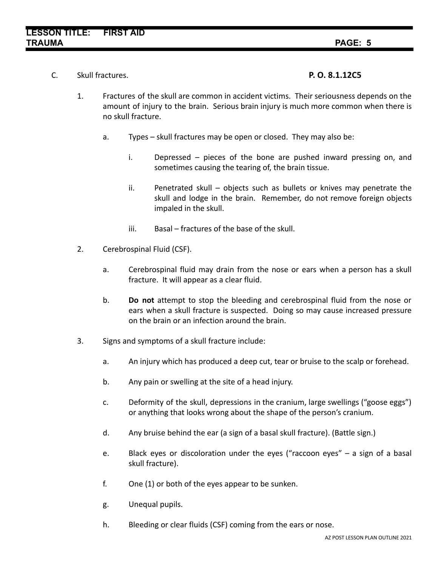C. Skull fractures. **P. O. 8.1.12C5**

- 1. Fractures of the skull are common in accident victims. Their seriousness depends on the amount of injury to the brain. Serious brain injury is much more common when there is no skull fracture.
	- a. Types skull fractures may be open or closed. They may also be:
		- i. Depressed pieces of the bone are pushed inward pressing on, and sometimes causing the tearing of, the brain tissue.
		- ii. Penetrated skull objects such as bullets or knives may penetrate the skull and lodge in the brain. Remember, do not remove foreign objects impaled in the skull.
		- iii. Basal fractures of the base of the skull.
- 2. Cerebrospinal Fluid (CSF).
	- a. Cerebrospinal fluid may drain from the nose or ears when a person has a skull fracture. It will appear as a clear fluid.
	- b. **Do not** attempt to stop the bleeding and cerebrospinal fluid from the nose or ears when a skull fracture is suspected. Doing so may cause increased pressure on the brain or an infection around the brain.
- 3. Signs and symptoms of a skull fracture include:
	- a. An injury which has produced a deep cut, tear or bruise to the scalp or forehead.
	- b. Any pain or swelling at the site of a head injury.
	- c. Deformity of the skull, depressions in the cranium, large swellings ("goose eggs") or anything that looks wrong about the shape of the person's cranium.
	- d. Any bruise behind the ear (a sign of a basal skull fracture). (Battle sign.)
	- e. Black eyes or discoloration under the eyes ("raccoon eyes" a sign of a basal skull fracture).
	- f. One (1) or both of the eyes appear to be sunken.
	- g. Unequal pupils.
	- h. Bleeding or clear fluids (CSF) coming from the ears or nose.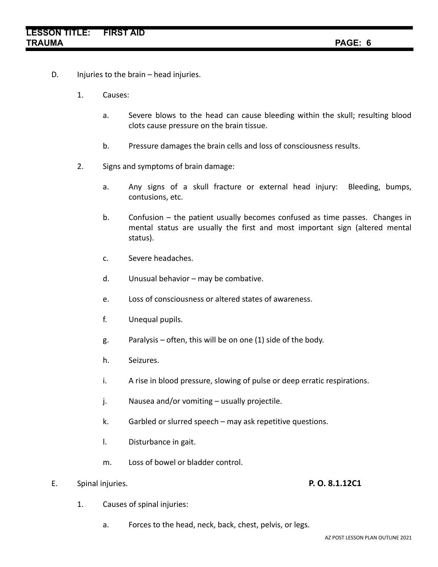- D. Injuries to the brain head injuries.
	- 1. Causes:
		- a. Severe blows to the head can cause bleeding within the skull; resulting blood clots cause pressure on the brain tissue.
		- b. Pressure damages the brain cells and loss of consciousness results.
	- 2. Signs and symptoms of brain damage:
		- a. Any signs of a skull fracture or external head injury: Bleeding, bumps, contusions, etc.
		- b. Confusion the patient usually becomes confused as time passes. Changes in mental status are usually the first and most important sign (altered mental status).
		- c. Severe headaches.
		- d. Unusual behavior may be combative.
		- e. Loss of consciousness or altered states of awareness.
		- f. Unequal pupils.
		- g. Paralysis often, this will be on one (1) side of the body.
		- h. Seizures.
		- i. A rise in blood pressure, slowing of pulse or deep erratic respirations.
		- j. Nausea and/or vomiting usually projectile.
		- k. Garbled or slurred speech may ask repetitive questions.
		- l. Disturbance in gait.
		- m. Loss of bowel or bladder control.
- E. Spinal injuries. **P. O. 8.1.12C1**

- 1. Causes of spinal injuries:
	- a. Forces to the head, neck, back, chest, pelvis, or legs.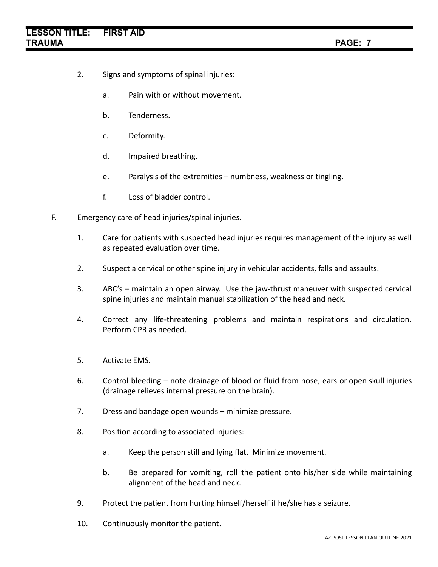- 2. Signs and symptoms of spinal injuries:
	- a. Pain with or without movement.
	- b. Tenderness.
	- c. Deformity.
	- d. Impaired breathing.
	- e. Paralysis of the extremities numbness, weakness or tingling.
	- f. Loss of bladder control.
- F. Emergency care of head injuries/spinal injuries.
	- 1. Care for patients with suspected head injuries requires management of the injury as well as repeated evaluation over time.
	- 2. Suspect a cervical or other spine injury in vehicular accidents, falls and assaults.
	- 3. ABC's maintain an open airway. Use the jaw-thrust maneuver with suspected cervical spine injuries and maintain manual stabilization of the head and neck.
	- 4. Correct any life-threatening problems and maintain respirations and circulation. Perform CPR as needed.
	- 5. Activate EMS.
	- 6. Control bleeding note drainage of blood or fluid from nose, ears or open skull injuries (drainage relieves internal pressure on the brain).
	- 7. Dress and bandage open wounds minimize pressure.
	- 8. Position according to associated injuries:
		- a. Keep the person still and lying flat. Minimize movement.
		- b. Be prepared for vomiting, roll the patient onto his/her side while maintaining alignment of the head and neck.
	- 9. Protect the patient from hurting himself/herself if he/she has a seizure.
	- 10. Continuously monitor the patient.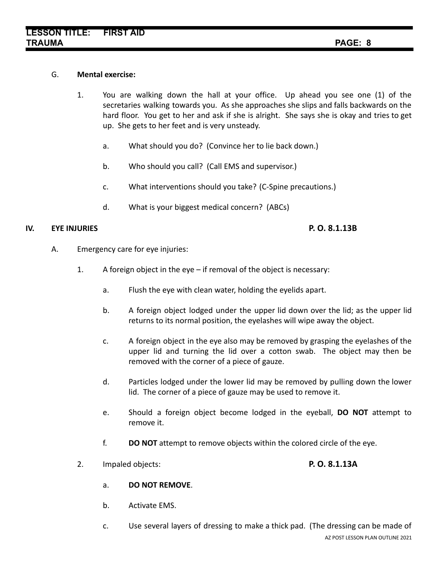## G. **Mental exercise:**

- 1. You are walking down the hall at your office. Up ahead you see one (1) of the secretaries walking towards you. As she approaches she slips and falls backwards on the hard floor. You get to her and ask if she is alright. She says she is okay and tries to get up. She gets to her feet and is very unsteady.
	- a. What should you do? (Convince her to lie back down.)
	- b. Who should you call? (Call EMS and supervisor.)
	- c. What interventions should you take? (C-Spine precautions.)
	- d. What is your biggest medical concern? (ABCs)

## **IV. EYE INJURIES P. O. 8.1.13B**

- A. Emergency care for eye injuries:
	- 1. A foreign object in the eye if removal of the object is necessary:
		- a. Flush the eye with clean water, holding the eyelids apart.
		- b. A foreign object lodged under the upper lid down over the lid; as the upper lid returns to its normal position, the eyelashes will wipe away the object.
		- c. A foreign object in the eye also may be removed by grasping the eyelashes of the upper lid and turning the lid over a cotton swab. The object may then be removed with the corner of a piece of gauze.
		- d. Particles lodged under the lower lid may be removed by pulling down the lower lid. The corner of a piece of gauze may be used to remove it.
		- e. Should a foreign object become lodged in the eyeball, **DO NOT** attempt to remove it.
		- f. **DO NOT** attempt to remove objects within the colored circle of the eye.
	- 2. Impaled objects: **P. O. 8.1.13A**

- a. **DO NOT REMOVE**.
- b. Activate EMS.
- c. Use several layers of dressing to make a thick pad. (The dressing can be made of AZ POST LESSON PLAN OUTLINE 2021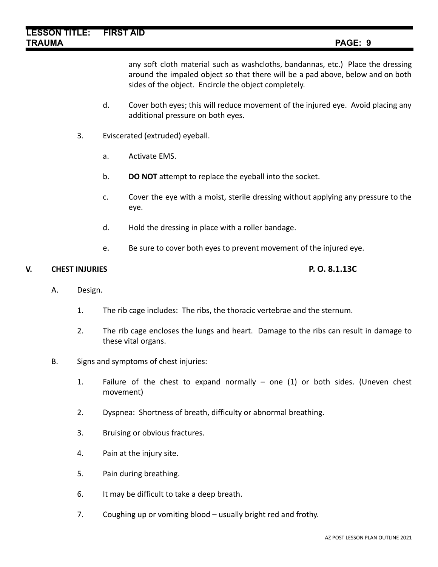any soft cloth material such as washcloths, bandannas, etc.) Place the dressing around the impaled object so that there will be a pad above, below and on both sides of the object. Encircle the object completely.

- d. Cover both eyes; this will reduce movement of the injured eye. Avoid placing any additional pressure on both eyes.
- 3. Eviscerated (extruded) eyeball.
	- a. Activate EMS.
	- b. **DO NOT** attempt to replace the eyeball into the socket.
	- c. Cover the eye with a moist, sterile dressing without applying any pressure to the eye.
	- d. Hold the dressing in place with a roller bandage.
	- e. Be sure to cover both eyes to prevent movement of the injured eye.

# **V. CHEST INJURIES P. O. 8.1.13C**

- A. Design.
	- 1. The rib cage includes: The ribs, the thoracic vertebrae and the sternum.
	- 2. The rib cage encloses the lungs and heart. Damage to the ribs can result in damage to these vital organs.
- B. Signs and symptoms of chest injuries:
	- 1. Failure of the chest to expand normally one (1) or both sides. (Uneven chest movement)
	- 2. Dyspnea: Shortness of breath, difficulty or abnormal breathing.
	- 3. Bruising or obvious fractures.
	- 4. Pain at the injury site.
	- 5. Pain during breathing.
	- 6. It may be difficult to take a deep breath.
	- 7. Coughing up or vomiting blood usually bright red and frothy.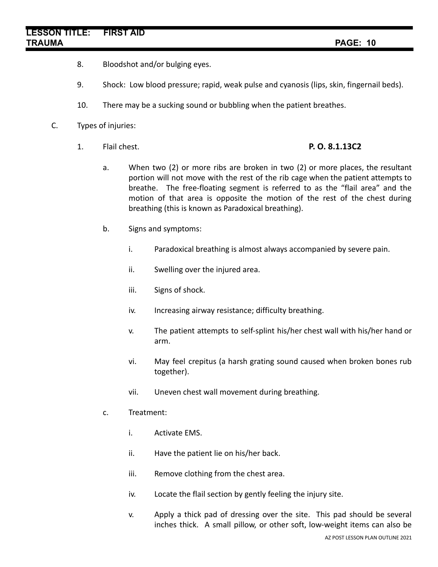- 8. Bloodshot and/or bulging eyes.
- 9. Shock: Low blood pressure; rapid, weak pulse and cyanosis (lips, skin, fingernail beds).
- 10. There may be a sucking sound or bubbling when the patient breathes.
- C. Types of injuries:
	- 1. Flail chest. **P. O. 8.1.13C2**

- a. When two (2) or more ribs are broken in two (2) or more places, the resultant portion will not move with the rest of the rib cage when the patient attempts to breathe. The free-floating segment is referred to as the "flail area" and the motion of that area is opposite the motion of the rest of the chest during breathing (this is known as Paradoxical breathing).
- b. Signs and symptoms:
	- i. Paradoxical breathing is almost always accompanied by severe pain.
	- ii. Swelling over the injured area.
	- iii. Signs of shock.
	- iv. Increasing airway resistance; difficulty breathing.
	- v. The patient attempts to self-splint his/her chest wall with his/her hand or arm.
	- vi. May feel crepitus (a harsh grating sound caused when broken bones rub together).
	- vii. Uneven chest wall movement during breathing.
- c. Treatment:
	- i. Activate EMS.
	- ii. Have the patient lie on his/her back.
	- iii. Remove clothing from the chest area.
	- iv. Locate the flail section by gently feeling the injury site.
	- v. Apply a thick pad of dressing over the site. This pad should be several inches thick. A small pillow, or other soft, low-weight items can also be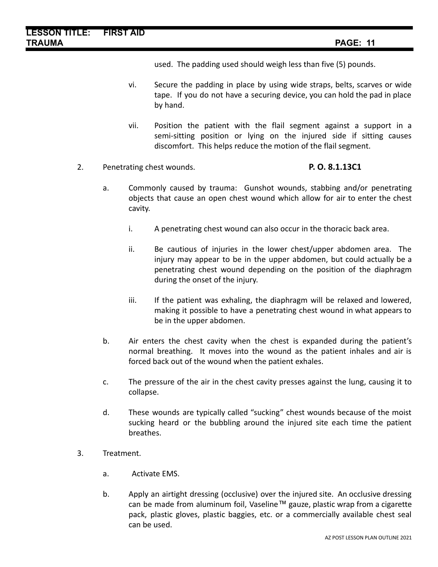used. The padding used should weigh less than five (5) pounds.

- vi. Secure the padding in place by using wide straps, belts, scarves or wide tape. If you do not have a securing device, you can hold the pad in place by hand.
- vii. Position the patient with the flail segment against a support in a semi-sitting position or lying on the injured side if sitting causes discomfort. This helps reduce the motion of the flail segment.
- 2. Penetrating chest wounds. **P. O. 8.1.13C1**

- a. Commonly caused by trauma: Gunshot wounds, stabbing and/or penetrating objects that cause an open chest wound which allow for air to enter the chest cavity.
	- i. A penetrating chest wound can also occur in the thoracic back area.
	- ii. Be cautious of injuries in the lower chest/upper abdomen area. The injury may appear to be in the upper abdomen, but could actually be a penetrating chest wound depending on the position of the diaphragm during the onset of the injury.
	- iii. If the patient was exhaling, the diaphragm will be relaxed and lowered, making it possible to have a penetrating chest wound in what appears to be in the upper abdomen.
- b. Air enters the chest cavity when the chest is expanded during the patient's normal breathing. It moves into the wound as the patient inhales and air is forced back out of the wound when the patient exhales.
- c. The pressure of the air in the chest cavity presses against the lung, causing it to collapse.
- d. These wounds are typically called "sucking" chest wounds because of the moist sucking heard or the bubbling around the injured site each time the patient breathes.
- 3. Treatment.
	- a. Activate EMS.
	- b. Apply an airtight dressing (occlusive) over the injured site. An occlusive dressing can be made from aluminum foil, Vaseline™ gauze, plastic wrap from a cigarette pack, plastic gloves, plastic baggies, etc. or a commercially available chest seal can be used.